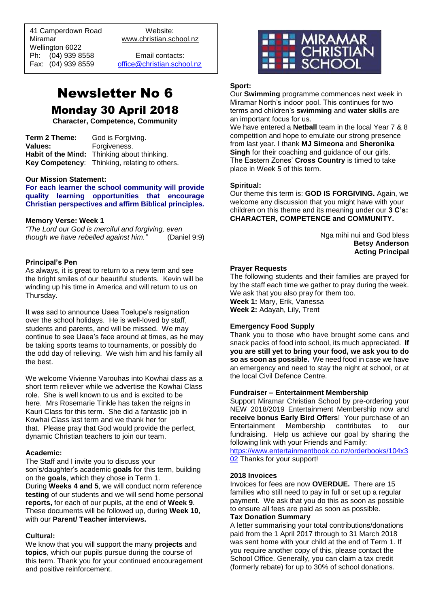41 Camperdown Road Website:<br>Miramar Www.christian.sc Wellington 6022 Ph: (04) 939 8558 Email contacts:

 $\overline{a}$ 

www.christian.school.nz

Fax: (04) 939 8559 [office@christian.school.nz](mailto:office@christian.school.nz)

# Newsletter No 6 Monday 30 April 2018

**Character, Competence, Community**

**Term 2 Theme:** God is Forgiving. **Values:** Forgiveness. **Habit of the Mind:** Thinking about thinking. **Key Competency**: Thinking, relating to others.

#### **Our Mission Statement:**

**For each learner the school community will provide quality learning opportunities that encourage Christian perspectives and affirm Biblical principles***.*

#### **Memory Verse: Week 1**

*"The Lord our God is merciful and forgiving, even though we have rebelled against him."* (Daniel 9:9)

#### **Principal's Pen**

As always, it is great to return to a new term and see the bright smiles of our beautiful students. Kevin will be winding up his time in America and will return to us on Thursday.

It was sad to announce Uaea Toelupe's resignation over the school holidays. He is well-loved by staff, students and parents, and will be missed. We may continue to see Uaea's face around at times, as he may be taking sports teams to tournaments, or possibly do the odd day of relieving. We wish him and his family all the best.

We welcome Vivienne Varouhas into Kowhai class as a short term reliever while we advertise the Kowhai Class role. She is well known to us and is excited to be here. Mrs Rosemarie Tinkle has taken the reigns in Kauri Class for this term. She did a fantastic job in Kowhai Class last term and we thank her for that. Please pray that God would provide the perfect, dynamic Christian teachers to join our team.

#### **Academic:**

The Staff and I invite you to discuss your son's/daughter's academic **goals** for this term, building on the **goals**, which they chose in Term 1. During **Weeks 4 and 5**, we will conduct norm reference **testing** of our students and we will send home personal **reports,** for each of our pupils, at the end of **Week 9**. These documents will be followed up, during **Week 10**, with our **Parent/ Teacher interviews.**

#### **Cultural:**

We know that you will support the many **projects** and **topics**, which our pupils pursue during the course of this term. Thank you for your continued encouragement and positive reinforcement.



#### **Sport:**

Our **Swimming** programme commences next week in Miramar North's indoor pool. This continues for two terms and children's **swimming** and **water skills** are an important focus for us.

We have entered a **Netball** team in the local Year 7 & 8 competition and hope to emulate our strong presence from last year. I thank **MJ Simeona** and **Sheronika Singh** for their coaching and guidance of our girls. The Eastern Zones' **Cross Country** is timed to take place in Week 5 of this term.

#### **Spiritual:**

Our theme this term is: **GOD IS FORGIVING.** Again, we welcome any discussion that you might have with your children on this theme and its meaning under our **3 C's: CHARACTER, COMPETENCE and COMMUNITY.** 

> Nga mihi nui and God bless **Betsy Anderson Acting Principal**

#### **Prayer Requests**

The following students and their families are prayed for by the staff each time we gather to pray during the week. We ask that you also pray for them too. **Week 1:** Mary, Erik, Vanessa **Week 2:** Adayah, Lily, Trent

# **Emergency Food Supply**

Thank you to those who have brought some cans and snack packs of food into school, its much appreciated. **If you are still yet to bring your food, we ask you to do so as soon as possible.** We need food in case we have an emergency and need to stay the night at school, or at the local Civil Defence Centre.

#### **Fundraiser – Entertainment Membership**

Support Miramar Christian School by pre-ordering your NEW 2018/2019 Entertainment Membership now and **receive bonus Early Bird Offers**! Your purchase of an Entertainment Membership contributes to our fundraising. Help us achieve our goal by sharing the following link with your Friends and Family:

[https://www.entertainmentbook.co.nz/orderbooks/104x3](https://www.entertainmentbook.co.nz/orderbooks/104x302) [02](https://www.entertainmentbook.co.nz/orderbooks/104x302) Thanks for your support!

#### **2018 Invoices**

Invoices for fees are now **OVERDUE.** There are 15 families who still need to pay in full or set up a regular payment. We ask that you do this as soon as possible to ensure all fees are paid as soon as possible. **Tax Donation Summary** 

A letter summarising your total contributions/donations paid from the 1 April 2017 through to 31 March 2018 was sent home with your child at the end of Term 1. If you require another copy of this, please contact the School Office. Generally, you can claim a tax credit (formerly rebate) for up to 30% of school donations.